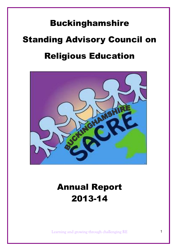# Buckinghamshire Standing Advisory Council on Religious Education



## Annual Report 2013-14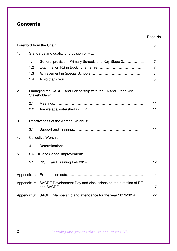## **Contents**

|             |             |                                                                               | Page No. |
|-------------|-------------|-------------------------------------------------------------------------------|----------|
|             |             |                                                                               | 3        |
| 1.          |             | Standards and quality of provision of RE:                                     |          |
|             | 1.1         | General provision: Primary Schools and Key Stage 3                            | 7        |
|             | 1.2         |                                                                               | 7        |
|             | 1.3         |                                                                               | 8        |
|             | 1.4         |                                                                               | 8        |
| 2.          |             | Managing the SACRE and Partnership with the LA and Other Key<br>Stakeholders: |          |
|             | 2.1         |                                                                               | 11       |
|             | 2.2         |                                                                               | 11       |
| 3.          |             | Effectiveness of the Agreed Syllabus:                                         |          |
|             | 3.1         |                                                                               | 11       |
| 4.          |             | <b>Collective Worship:</b>                                                    |          |
|             | 4.1         |                                                                               | 11       |
| 5.          |             | <b>SACRE</b> and School Improvement:                                          |          |
|             | 5.1         |                                                                               | 12       |
| Appendix 1: |             |                                                                               | 14       |
|             | Appendix 2: | SACRE Development Day and discussions on the direction of RE                  | 17       |
| Appendix 3: |             | SACRE Membership and attendance for the year 2013/2014                        | 22       |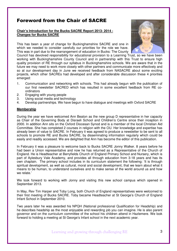## Foreword from the Chair of SACRE

#### **Chair's Introduction for the Bucks SACRE Report 2013- 2014 - Changes for Bucks SACRE**

This has been a year of change for Buckinghamshire SACRE and one in which we needed to consider carefully our priorities for the role we have. This was in part due to the rearrangement of education in Bucks: The County



Council has devolved responsibility for educational provision to a Learning Trust, so we have been working with Buckinghamshire County Council and in partnership with this Trust to ensure high quality provision of RE through our syllabus in Buckinghamshire schools. We are aware that in the future we may need to work more closely with other partners and communicate more effectively and so at our development day in June we received feedback from NASACRE about some exciting projects, which other SACREs had developed and after considerable discussion these 4 priorities emerged:

- 1. Communication and networking with schools. This had already begun with the publication of our first newsletter SACRED which has resulted in some excellent feedback from RE coordinators
- 2. Engaging with young people
- 3. Using social media and technology
- 4. Develop partnerships. We have begun to have dialogue and meetings with Oxford SACRE

#### **Membership**

During the year we have welcomed Ann Beaton as the new group D representative in her capacity as Chair of the Governing Body at Disraeli School and Children's Centre since their inception in 2000. In addition Ann sits on the Oxford Diocesan Synod and is a member of the local Christian Aid Committee. She has completed 2 courses in religion with the OU. Her knowledge and expertise has already been of value to SACRE. In February it was agreed to produce a newsletter to be sent to all schools to promote RE and Bucks SACRE, by disseminating information regularly which could be easily and readily accessed. We are delighted that Ann has become the editor of this publication.

In February it was a pleasure to welcome back to Bucks SACRE Jonny Walker. 8 years before he had been a Union representative and now he has returned as a Representative of the Church of England. He is Headteacher at Berryfields Church of England Primary School and Nursery, which is part of Aylesbury Vale Academy, and provides all through education from 3-18 years and has its own chaplain. The primary school includes in its curriculum statement the following: 'It is through spiritual development, as well as cultural, moral and social development, that we learn about what it means to be human, to understand ourselves and to make sense of the world around us and how we relate.'

We look forward to working with Jonny and visiting this new school campus which opened in September 2013.

In May, Rev Tim Harper and Toby Long, both Church of England representatives were welcomed to their first meeting of Bucks SACRE. Toby became Headteacher at St George's Church of England Infant School in September 2010.

Two years later he was awarded his NPQH (National professional Qualification for Headship) and he describes headship as the most enjoyable and rewarding job you can imagine. He is also parent governor and on the curriculum committee of the school his children attend in Hazlemere. We look forward to holding a meeting at St George's Infant school in the next academic year.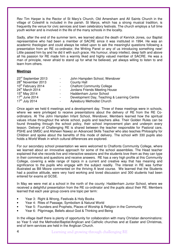Rev Tim Harper is the Rector of St Mary's Church, Old Amersham and All Saints Church in the village of Coleshill is included in the parish. St Marys, which has a strong musical tradition, is frequently the venue for civic services and town celebratory festivals. The church employs a full time youth worker and is involved in the life of the many schools in the locality.

Sadly, after the end of the summer term, we learned about the death of Kenrick Jones, our Baptist representative who had been a member of SACRE since it was instituted in 1994. He was an academic theologian and could always be relied upon to ask the meaningful questions following a presentation from an RE co-ordinator, the Writing Panel or any of us introducing something new! Little passed him by and he did it with such grace. His humour, sharp intellect, deep faith and above all his passion for RE made him a warmly liked and highly valued member of SACRE. He was a man of principle, never afraid to stand up for what he believed, yet always willing to listen to and learn from others.

#### **Meetings**

| 23rd September 2013            | $\blacksquare$           | John Hampden School, Wendover               |
|--------------------------------|--------------------------|---------------------------------------------|
| 28 <sup>th</sup> November 2013 | $\blacksquare$           | <b>County Hall</b>                          |
| 10 <sup>th</sup> February 2014 | $\blacksquare$           | <b>Chalfont Community College</b>           |
| 24th March 2014                | $\blacksquare$           | Jordans Friends Meeting House               |
| $15^{th}$ May 2014             | $\overline{\phantom{a}}$ | Haddenham Junior School                     |
| $17th$ June 2014               | $\overline{\phantom{a}}$ | Development Day, Teaching & Learning Centre |
| 17 <sup>th</sup> July 2014     | $\overline{\phantom{a}}$ | Aylesbury Methodist Church                  |

Once again we held 6 meetings and a development day. Three of these meetings were in schools, where we were privileged to receive presentations about the delivery of RE from the RE Coordinators. At The John Hampden Infant School, Wendover, Members learned how the spiritual values infuse throughout the whole school, pupils and teachers alike. Their Golden Rules can be found threading through the school policy, their school improvement plan and underpin every lesson. Delivery of Challenging RE is shared between the teacher responsible for Pastoral care, PSHE and SMSC and Afsheen Nawaz an Advanced Skills Teacher who also teaches Philosophy for Children and spoke about the benefits of this mode of delivery. The school with 330 pupils also holds a World Week in which cultural differences are explored.

For our secondary school presentation we were welcomed to Chalfonts Community College, where we learned about an innovative approach for some of the school assemblies. The Head teacher explained that she records live and interactive sessions and the students love them as they can type in their comments and questions and receive answers. RE has a very high profile at this Community College, covering a wide range of topics in a current and creative way that has meaning and significance to the pupils who engage with the subject readily. The interest in RE was further illustrated as Bill Moore commented on the thriving A level course. We learned that the Students had a positive attitude, were very hard working and loved discussion and 300 students had been entered for exams at GCSE.

In May we were met at a school in the north of the county: Haddenham Junior School, where we received a delightful presentation from the RE co-ordinator and the pupils about their RE. Members learned that each year group covers one topic per term:

- Year 3: Right & Wrong, Festivals & Holy Books
- Year 4: Rites of Passage, Symbolism & Natural World
- Year 5: Founders and Prophets, Places of Worship & Religion in the Community
- Year 6: Pilgrimage, Beliefs about God & Thinking and Being

In the village itself there is plenty of opportunity for collaboration with many Christian denominations: so Year 5 visit the Methodist/Baptist/Anglican and Catholic churches and at Easter and Christmas, end of term services are held in the Anglican Church.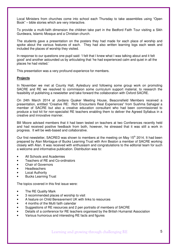Local Ministers from churches come into school each Thursday to take assemblies using "Open Book" – bible stories which are very interactive.

To provide a multi-faith dimension the children take part in the Bedford Faith Tour visiting a Sikh Gurdwara, Islamic Mosque and a Christian church.

The students gave a presentation on the posters they had made for each place of worship and spoke about the various features of each. They had also written learning logs each week and included the places of worship they visited.

In response to our questions one pupil said: 'I felt that I knew what I was talking about and it felt good' and another astounded us by articulating that 'he had experienced calm and quiet in all the places he had visited.'

This presentation was a very profound experience for members.

#### **Projects**

In November we met at County Hall, Aylesbury and following some group work on promoting SACRE and RE we resolved to commission some curriculum support material, to research the feasibility of publishing a newsletter and take forward the collaboration with Oxford SACRE.

On 24th March 2014 at Jordans Quaker Meeting House, Beaconsfield Members received a presentation, entitled "Creative RE: Rich Encounters Real Experiences" from Sushma Sahajpal a member of SACRE but also a creative education consultant who had been commissioned to produce a tool kit for non-specialist RE teachers enabling them to deliver the Agreed Syllabus in a creative and innovative manner.

Bill Moore advised members that it had been tested on teachers at two Conferences recently held and had received positive feedback from both, however, he stressed that it was still a work in progress. It will be web-based and collaborative.

Our first newsletter, SACRED was shown to members at the meeting on May  $15<sup>th</sup>$  2014. It had been prepared by Alan Montague of Bucks Learning Trust with Ann Beaton a member of SACRE working closely with Alan. It was received with enthusiasm and congratulations to the editorial team for such a welcome and informative publication. Distribution was to:

- All Schools and Academies
- Teachers of RE and Co-ordinators
- Chair of Governors
- Headteachers
- **Local Authority**
- Bucks Learning Trust

The topics covered in this first issue were:

- The RE Quality Mark
- 3 recommended places of worship to visit
- A feature on Child Bereavement UK with links to resources
- 4 months of the Multi faith calendar
- Suggestions of RE resources and 2 pen portraits of members of SACRE
- Details of a conference for RE teachers organised by the British Humanist Association
- Various humorous and interesting RE facts and figures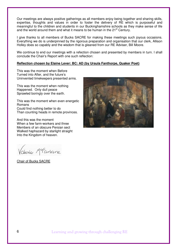Our meetings are always positive gatherings as all members enjoy being together and sharing skills, expertise, thoughts and values in order to foster the delivery of RE which is purposeful and meaningful to the children and students in our Buckinghamshire schools as they make sense of life and the world around them and what it means to be human in the 21<sup>st</sup> Century.

I give thanks to all members of Bucks SACRE for making these meetings such joyous occasions. Everything we do is underpinned by the rigorous preparation and organisation that our clerk, Allison Holley does so capably and the wisdom that is gleaned from our RE Adviser, Bill Moore.

We continue to end our meetings with a refection chosen and presented by members in turn. I shall conclude the Chair's Report with one such reflection:

#### **Reflection chosen by Elaine Lever: BC: AD (by Ursula Fanthorpe, Quaker Poet)**

This was the moment when Before Turned into After, and the future's Uninvented timekeepers presented arms.

This was the moment when nothing Happened. Only dull peace Sprawled boringly over the earth.

This was the moment when even energetic Romans Could find nothing better to do Than counting heads in remote provinces.

And this was the moment When a few farm-workers and three Members of an obscure Persian sect Walked haphazard by starlight straight Into the Kingdom of heaven.

Vakine Merartane

Chair of Bucks SACRE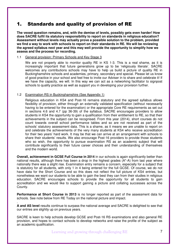## 1. Standards and quality of provision of RE

**The vexed question remains, and, with the demise of levels, possibly gets even harder! How does SACRE fulfil its statutory responsibility to report on standards in religious education? Assessment without levels may actually prove a possible solution to the problem, provided we find a way to work with schools to report on their standards in RE. We will be reviewing the agreed syllabus next year and this may well provide the opportunity to simplify how we assess and the process for recording.**

#### 1.1 General provision: Primary Schools and Key Stage 3

We are not properly able to monitor quality RE in KS 1-3. This is a real shame, as it is increasingly important that future generations grow up to be 'religiously literate'. SACRE welcomes any contributions schools may have to help us build a picture of quality RE in Buckinghamshire schools and academies, primary, secondary and special. Please let us know of good practice in your school and feel free to invite our Adviser in to share and celebrate it! If we have the capacity, we will. In this way we can act as a networking facilitator to signpost schools to quality practice as well as support you in developing your provision further.

#### 1.2 Examination RS in Buckinghamshire (See Appendix 1)

Religious education in KS4 and Post-16 remains statutory and the agreed syllabus allows flexibility of provision, either through an externally validated specification (without necessarily having to be entered for the examination) or the appropriate Core RE requirements as set out in sections 4.6 and 4.7 (pp 36-39) of the syllabus. SACRE encourages providers to allow students in KS4 the opportunity to gain a qualification from their entitlement to RE, so that their achievements in the subject can be recognised. From this year (2014), short courses do not count towards overall school performance tables and so are not received as part of the schools' statutory assessment data. This is a shame, as it means we are unable to report on and celebrate the achievements of the very many students at KS4 who receive accreditation for their two years' hard work. It may be that we can arrive at an arrangement with schools to share their students' results. We also encourage Post-16 providers to provide those students who so wish, the opportunity to pursue examination RS as an academic subject that will contribute significantly to their future career choices and their understanding of themselves and the modern world.

**Overall, achievement in GCSE Full Course in 2014** in our schools is again significantly better than national results, although there has been a drop in the highest grades (A\*-A) from last year where nationally there was a slight rise. Examination entry remains a concern, especially for a subject that is statutory for all students, with only 1 in 4 being entered for the full GCSE. Of course, we do not have data for the Short Course and so this does not reflect the full picture of KS4 entries, but nonetheless we want our students to be able to gain the best they can from their studies in religious education. SACRE encourages schools to provide the opportunity for all students to gain accreditation and we would like to support gaining a picture and collating successes across the County.

**Performance at Short Course in 2013** is no longer reported as part of the assessment data for schools. See note below from RE Today on the national picture and impact.

. **A and AS level** results continue to surpass the national average and SACRE is delighted to see that our entries are slightly up on previous years.

SACRE is keen to help schools develop GCSE and Post-16 RS examinations and also general RE provision, and hopes to contact schools to develop networks and raise the profile of the subject as an academic qualification.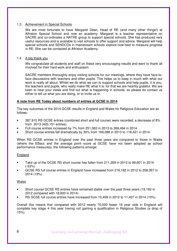#### 1.3 Achievement in Special Schools

We are most fortunate to have Margaret Dean, Head of RE (and many other things!) at Alfriston Special School and now an academy. Margaret is a teacher representative on SACRE and co-ordinates a NATRE group to support special schools. She has produced very useful resources and is available to visit schools to offer support and advice. Margaret will help special schools and SENDCOs in mainstream schools explore how best to measure progress in RE. She can be contacted at Alfriston Academy.

#### 1.4 A big thank you

We congratulate all students and staff on these very encouraging results and want to thank all involved for their hard work and enthusiasm.

SACRE members thoroughly enjoy visiting schools for our meetings, where they have face-toface discussions with teachers and often pupils. This helps us to keep in touch with what our work is really all about. Whilst we do what we can to support schools and help pupils, it is you, the teachers and pupils, who really make RE what it is: for that we are heartily grateful. We are keen to hear your views and find out what is happening in schools, so please do contact us either to tell us what you are doing, or to invite us in.

#### **A note from RE Today about numbers of entries at GCSE in 2014**

The key outcomes of the 2014 GCSE results in England and Wales for Religious Education are as follows:

- 387,915 RS GCSE entries (combined short and full course) were recorded; a decrease of 8% from 2013 (420,151 entries)
- Full course entries increased by 7% from 251,063 in 2013 to 269,494 in 2014
- Short course entries fell dramatically by 30% from 169,088 in 2013 to 118,421 in 2014

When RS GCSE entries in England over the past three years are compared to those in Wales (where the EBacc and the average point score at GCSE have not been adopted as school performance measures), the following patterns emerge:

#### **England**

- Take up of the GCSE RS short course has fallen from 211,269 in 2012 to 99,601 in 2014 (-53%)
- GCSE RS full course entries in England have increased from 216,182 in 2012 to 258,067 in 2014 (19%)

#### Wales

- Short course GCSE RS entries have remained stable over the past three years (19,182 in 2012 compared with 18,820 in 2014)
- RS GCSE full course entries have increased from 10,409 in 2012 to 11,427 in 2014 (10%)

Overall this means that compared with 2012 nearly 70,000 fewer 16 year olds in England will complete key stage 4 this year having not gaining a qualification in Religious Studies (a drop of 15%).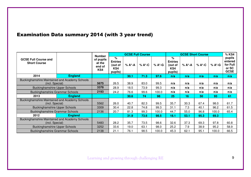## Examination Data summary 2014 (with 3 year trend)

|                                                       |                | <b>Number</b>                        |                                                  |        | <b>GCSE Full Course</b> |        |                                                  | <b>GCSE Short Course</b> |        |        | % KS4                                                 |
|-------------------------------------------------------|----------------|--------------------------------------|--------------------------------------------------|--------|-------------------------|--------|--------------------------------------------------|--------------------------|--------|--------|-------------------------------------------------------|
| <b>GCSE Full Course and</b><br><b>Short Course</b>    |                | of pupils<br>at the<br>end of<br>KS4 | %<br><b>Entries</b><br>(out of<br>KS4<br>pupils) | % A*-A | % A*-C                  | % A*-G | %<br><b>Entries</b><br>(out of<br>KS4<br>pupils) | % A*-A                   | % A*-C | % A*-G | pupils<br>entered<br>for Full<br>or SC<br><b>GCSE</b> |
| 2014                                                  | <b>England</b> |                                      |                                                  | 30.1   | 71.3                    | 97.6   | n/a                                              | n/a                      | n/a    | n/a    | n/a                                                   |
| <b>Buckinghamshire Maintained and Academy Schools</b> |                |                                      |                                                  |        |                         |        |                                                  |                          |        |        |                                                       |
| (incl. Special)                                       |                | 5675                                 | 26.5                                             | 38.9   | 83.0                    | 99.5   | n/a                                              | n/a                      | n/a    | n/a    | n/a                                                   |
| <b>Buckinghamshire Upper Schools</b>                  |                | 3378                                 | 28.9                                             | 18.5   | 73.9                    | 99.3   | n/a                                              | n/a                      | n/a    | n/a    | n/a                                                   |
| <b>Buckinghamshire Grammar Schools</b>                |                | 2193                                 | 24.2                                             | 76.6   | 99.6                    | 100.0  | n/a                                              | n/a                      | n/a    | n/a    | n/a                                                   |
| 2013                                                  | <b>England</b> |                                      |                                                  | 30.6   | 74                      | 98     | 25                                               | 16                       | 50     | 93     | 61                                                    |
| Buckinghamshire Maintained and Academy Schools        |                |                                      |                                                  |        |                         |        |                                                  |                          |        |        |                                                       |
| (incl. Special)                                       |                | 5562                                 | 26.0                                             | 40.7   | 82.3                    | 99.5   | 35.7                                             | 30.3                     | 67.4   | 98.0   | 61.7                                                  |
| <b>Buckinghamshire Upper Schools</b>                  |                | 3309                                 | 30.4                                             | 22.8   | 74.8                    | 99.3   | 31.1                                             | 7.3                      | 40.1   | 96.2   | 61.5                                                  |
| <b>Buckinghamshire Grammar Schools</b>                |                | 2136                                 | 20.7                                             | 81.3   | 99.3                    | 100.0  | 44.7                                             | 55.0                     | 96.8   | 100.0  | 65.4                                                  |
| 2012                                                  | <b>England</b> |                                      |                                                  | 31.9   | 73.6                    | 98.5   | 18.1                                             | 53.1                     | 95.3   | 69.3   |                                                       |
| Buckinghamshire Maintained and Academy Schools        |                |                                      |                                                  |        |                         |        |                                                  |                          |        |        |                                                       |
| (incl. Special)                                       |                | 5483                                 | 28.2                                             | 35.7   | 73.5                    | 98.6   | 32.6                                             | 37.3                     | 69.3   | 97.8   | 60.8                                                  |
| <b>Buckinghamshire Upper Schools</b>                  |                | 3252                                 | 33.6                                             | 19.0   | 63.1                    | 98.0   | 25.2                                             | 7.9                      | 38.9   | 95.2   | 58.9                                                  |
| <b>Buckinghamshire Grammar Schools</b>                |                | 2138                                 | 21.1                                             | 76.1   | 98.5                    | 100.0  | 45.3                                             | 62.1                     | 95.1   | 100.0  | 66.5                                                  |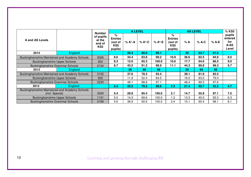|                                                |                | <b>Number</b>                                    | <b>A LEVEL</b>                                               |        |        |        | <b>AS LEVEL</b>                                  |      |         |         | % KS5                                     |
|------------------------------------------------|----------------|--------------------------------------------------|--------------------------------------------------------------|--------|--------|--------|--------------------------------------------------|------|---------|---------|-------------------------------------------|
| A and AS Levels                                |                | of pupils<br>at the<br>end of<br>KS <sub>5</sub> | %<br><b>Entries</b><br>(out of<br>KS <sub>5</sub><br>pupils) | % A*-A | % A*-C | % A*-E | ℅<br><b>Entries</b><br>(out of<br>KS5<br>pupils) | % A  | $%$ A-C | $%$ A-E | pupils<br>entered<br>for<br>A/AS<br>Level |
| 2014                                           | <b>England</b> |                                                  |                                                              | 26.4   | 80.0   | 99.1   |                                                  | 20   | 64.7    | 91.6    |                                           |
| Buckinghamshire Maintained and Academy Schools |                | 3026                                             | 8.6                                                          | 34.4   | 83.8   | 99.2   | 10.9                                             | 36.6 | 82.5    | 94.9    | 9.5                                       |
| <b>Buckinghamshire Upper Schools</b>           | 902            | 8.3                                              | 12.0                                                         | 65.3   | 100.0  | 10.6   | 17.7                                             | 64.6 | 86.5    | 9.0     |                                           |
| <b>Buckinghamshire Grammar Schools</b>         |                | 2124                                             | 8.7                                                          | 43.5   | 91.3   | 98.9   | 11.1                                             | 44.3 | 89.8    | 98.3    | 9.7                                       |
| 2013                                           | England        |                                                  |                                                              | 26     | 80     | 99     |                                                  | 20   | 65      | 92      |                                           |
| Buckinghamshire Maintained and Academy Schools |                | 3152                                             |                                                              | 37.6   | 78.3   | 93.4   |                                                  | 39.1 | 81.9    | 92.2    |                                           |
| <b>Buckinghamshire Upper Schools</b>           |                | 922                                              |                                                              | 11.9   | 52.4   | 84.5   |                                                  | 16.0 | 63.0    | 79.0    |                                           |
| <b>Buckinghamshire Grammar Schools</b>         |                | 2230                                             |                                                              | 48.1   | 88.8   | 97.1   |                                                  | 48.4 | 89.5    | 97.6    |                                           |
| 2012                                           | <b>England</b> |                                                  | 2.4                                                          | 25.5   | 79.3   | 98.6   | 2.3                                              | 21.4 | 65.7    | 92.2    | 4.7                                       |
| Buckinghamshire Maintained and Academy Schools |                |                                                  |                                                              |        |        |        |                                                  |      |         |         |                                           |
| (incl. Special)                                |                | 3300                                             | 5.4                                                          | 29.8   | 85.4   | 100.0  | 2.1                                              | 14.7 | 55.9    | 97.1    | 7.5                                       |
| <b>Buckinghamshire Upper Schools</b>           |                | 1131                                             | 5.0                                                          | 14.3   | 69.6   | 100.0  | 1.3                                              | 13.3 | 40.0    | 93.3    | 6.3                                       |
| <b>Buckinghamshire Grammar Schools</b>         |                | 2169                                             | 5.6                                                          | 36.9   | 92.6   | 100.0  | 2.4                                              | 15.1 | 60.4    | 98.1    | 8.1                                       |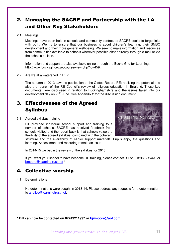## 2. Managing the SACRE and Partnership with the LA and Other Key Stakeholders

#### 2.1 Meetings

Meetings have been held in schools and community centres as SACRE seeks to forge links with both. We try to ensure that our business is about children's learning, their SMSC development and their more general well-being. We seek to make information and resources from communities available to schools wherever possible either directly through e-mail or via the schools bulletin.

Information and support are also available online through the Bucks Grid for Learning: http://www.bucksgfl.org.uk/course/view.php?id=459.

#### 2.2 Are we at a watershed in RE?

The autumn of 2013 saw the publication of the Ofsted Report, RE: realizing the potential and also the launch of the RE Council's review of religious education in England. These key documents were discussed in relation to Buckinghamshire and the issues taken into our development day on 25<sup>th</sup> June. See Appendix 2 for the discussion document.

## 3. Effectiveness of the Agreed Syllabus

#### 3.1 Agreed syllabus training

Bill provided individual school support and training to a number of schools. SACRE has received feedback from schools visited and the report back is that schools value the flexibility of the agreed syllabus, combined with the coherent

structure and the availability of earlier support materials. Pupils enjoy the questions and learning. Assessment and recording remain an issue.

In 2014-15 we begin the review of the syllabus for 2016!

If you want your school to have bespoke RE training, please contact Bill on 01296 382441, or bmoore@learningtrust.net **\***

## 4. Collective worship

#### 4.1 Determinations

No determinations were sought in 2013-14. Please address any requests for a determination to aholley@learningtrust.net.

**\* Bill can now be contacted on 07749211997 or bjvmoore@aol.com**

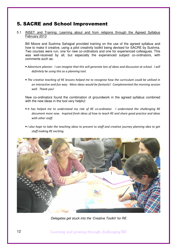## 5. SACRE and School Improvement

5.1 INSET and Training: Learning about and from religions through the Agreed Syllabus February 2013

Bill Moore and Sushma Sahajpal provided training on the use of the agreed syllabus and how to make it creative, using a pilot creativity toolkit being devised for SACRE by Sushma. Two courses were run, one for new co-ordinators and one for experienced colleagues. This was well-received by all, but especially the experienced subject co-ordinators, with comments such as:

- Adventure planner. I can imagine that this will generate lots of ideas and discussion at school. I will definitely be using this as a planning tool.
- The creative teaching of RE lessons helped me to recognise how the curriculum could be utilised in an interactive and fun way. More ideas would be fantastic! Complemented the morning session well. Thank you!

New co-ordinators found the combination of groundwork in the agreed syllabus combined with the new ideas in the tool very helpful:

- It has helped me to understand my role of RE co-ordinator. I understand the challenging RE document more now. Inspired fresh ideas of how to teach RE and share good practice and ideas with other staff.
- I also hope to take the teaching ideas to present to staff and creative journey planning idea to get staff making RE exciting.



Delegates get stuck into the 'Creative Toolkit' for RE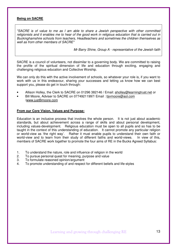#### **Being on SACRE**

"SACRE is of value to me as I am able to share a Jewish perspective with other committed religionists and it enables me to hear of the good work in religious education that is carried out in Buckinghamshire schools from teachers, Headteachers and sometimes the children themselves as well as from other members of SACRE"

Mr Barry Shine, Group A - representative of the Jewish faith

SACRE is a council of volunteers, not dissimilar to a governing body. We are committed to raising the profile of the spiritual dimension of life and education through exciting, engaging and challenging religious education and Collective Worship.

We can only do this with the active involvement of schools, so whatever your role is, if you want to work with us in this endeavour, sharing your successes and letting us know how we can best support you, please do get in touch through:

- Allison Holley, the Clerk to SACRE on 01296 382146 / Email: aholley@learningtrust.net or
- Bill Moore, Adviser to SACRE on 07749211997/ Email : bjvmoore@aol.com /www.justBmoore.com

#### **From our Core Vision, Values and Purpose:**

Education is an inclusive process that involves the whole person. It is not just about academic standards, but about achievement across a range of skills and about personal development, including values-development. Religious education must be open to all pupils and so has to be taught in the context of this understanding of education. It cannot promote any particular religion or world-view as 'the right way'. Rather it must enable pupils to understand their own faith or world-view and to learn from their study of different faiths and world-views. In view of this, members of SACRE work together to promote the four aims of RE in the Bucks Agreed Syllabus:

- 1. To understand the nature, role and influence of religion in the world
- 2. To pursue personal quest for meaning, purpose and value
- 3. To formulate reasoned opinion/argument
- 4. To promote understanding of and respect for different beliefs and life-styles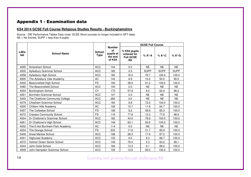## Appendix 1 - Examination data

#### **KS4 2014 GCSE Full Course Religious Studies Results - Buckinghamshire**

Source - DfE Performance Tables Data (note: GCSE Short courses no longer included in SPT data) NE = No Entries, SUPP = less than 6 pupils

|                    |                                 |                              |                                                       |                                                              | <b>GCSE Full Course</b> |                  |             |
|--------------------|---------------------------------|------------------------------|-------------------------------------------------------|--------------------------------------------------------------|-------------------------|------------------|-------------|
| <b>LAEs</b><br>tab | <b>School Name</b>              | <b>School</b><br><b>Type</b> | <b>Number</b><br>of<br>pupils at<br>the end<br>of KS4 | % KS4 pupils<br>entered for<br><b>Full GCSE</b><br><b>RS</b> | % A*-A                  | $% A^{\star}$ -C | % A*-G      |
| 4095               | Amersham School                 | <b>ACC</b>                   | 144                                                   | 0.0                                                          | <b>NE</b>               | <b>NE</b>        | <b>NE</b>   |
| 4500               | Aylesbury Grammar School        | <b>ACC</b>                   | 182                                                   | 0.5                                                          | <b>SUPP</b>             | <b>SUPP</b>      | <b>SUPP</b> |
| 4058               | Aylesbury High School           | <b>ACC</b>                   | 182                                                   | 16.5                                                         | 76.7                    | 100.0            | 100.0       |
| 6905               | The Aylesbury Vale Academy      | <b>AC</b>                    | 144                                                   | 6.9                                                          | 10.0                    | 50.0             | 90.0        |
| 5402               | Beaconsfield High School        | <b>FD</b>                    | 150                                                   | 38.0                                                         | 91.2                    | 100.0            | 100.0       |
| 4082               | The Beaconsfield School         | <b>ACC</b>                   | 145                                                   | 0.0                                                          | <b>NE</b>               | <b>NE</b>        | NE.         |
| 4004               | <b>Buckingham School</b>        | CY                           | 173                                                   | 57.8                                                         | 8.0                     | 62.0             | 96.0        |
| 4051               | Burnham Grammar School          | <b>ACC</b>                   | 147                                                   | 0.0                                                          | <b>NE</b>               | <b>NE</b>        | <b>NE</b>   |
| 5403               | The Chalfonts Community College | <b>ACC</b>                   | 282                                                   | 0.0                                                          | <b>NE</b>               | <b>NE</b>        | <b>NE</b>   |
| 4079               | Chesham Grammar School          | <b>ACC</b>                   | 184                                                   | 9.8                                                          | 72.2                    | 100.0            | 100.0       |
| 4000               | Chiltern Hills Academy          | <b>AC</b>                    | 108                                                   | 15.7                                                         | 11.8                    | 64.7             | 100.0       |
| 5407               | The Cottesloe School            | <b>FD</b>                    | 196                                                   | 9.2                                                          | 38.9                    | 83.3             | 100.0       |
| 4072               | <b>Cressex Community School</b> | <b>FD</b>                    | 116                                                   | 77.6                                                         | 13.3                    | 77.8             | 98.9        |
| 4504               | Dr Challoner's Grammar School   | <b>ACC</b>                   | 182                                                   | 44.0                                                         | 78.8                    | 100.0            | 100.0       |
| 4061               | Dr Challoner's High School      | <b>ACC</b>                   | 149                                                   | 63.1                                                         | 93.6                    | 100.0            | 100.0       |
| 4002               | The E-Act Burnham Park Academy  | <b>AC</b>                    | 114                                                   | 0.0                                                          | <b>NE</b>               | <b>NE</b>        | <b>NE</b>   |
| 4034               | The Grange School               | <b>FD</b>                    | 233                                                   | 17.6                                                         | 31.7                    | 82.9             | 100.0       |
| 5409               | <b>Great Marlow School</b>      | <b>ACC</b>                   | 198                                                   | 28.3                                                         | 17.9                    | 87.5             | 100.0       |
| 4001               | <b>Highcrest Academy</b>        | <b>ACC</b>                   | 133                                                   | 9.0                                                          | 8.3                     | 66.7             | 100.0       |
| 4070               | Holmer Green Senior School      | <b>ACC</b>                   | 149                                                   | 76.5                                                         | 5.3                     | 63.2             | 99.1        |
| 4044               | John Colet School               | <b>ACC</b>                   | 166                                                   | 13.3                                                         | 9.1                     | 68.2             | 100.0       |
| 4009               | John Hampden Grammar School     | <b>ACC</b>                   | 159                                                   | 12.6                                                         | 90.0                    | 100.0            | 100.0       |

Learning and growing through challenging RE

14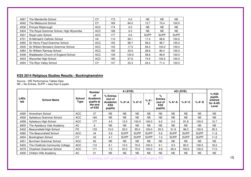| 4067 | The Mandeville School                  | CY         | 173 | 0.0   | <b>NE</b>   | <b>NE</b>   | <b>NE</b>   |
|------|----------------------------------------|------------|-----|-------|-------------|-------------|-------------|
| 4042 | The Misbourne School                   | СY         | 169 | 84.0  | 12.7        | 70.4        | 100.0       |
| 4036 | Princes Risborough                     | <b>ACC</b> | 174 | 0.0   | NE.         | <b>NE</b>   | <b>NE</b>   |
| 5404 | The Royal Grammar School, High Wycombe | ACC        | 198 | 0.0   | NE.         | NE          | <b>NE</b>   |
| 4501 | Royal Latin School                     | <b>ACC</b> | 177 | 0.6   | <b>SUPP</b> | <b>SUPP</b> | <b>SUPP</b> |
| 4701 | St Michael's Catholic School           | VA         | 110 | 99.1  | 17.4        | 68.8        | 100.0       |
| 4065 | Sir Henry Floyd Grammar School         | <b>ACC</b> | 155 | 98.7  | 58.2        | 98.7        | 100.0       |
| 4505 | Sir William Borlase's Grammar School   | <b>ACC</b> | 143 | 17.5  | 84.0        | 100.0       | 100.0       |
| 4084 | Sir William Ramsay School              | <b>ACC</b> | 165 | 33.9  | 28.6        | 80.4        | 100.0       |
| 5408 | Waddesdon Church of England School     | <b>ACC</b> | 139 | 100.0 | 38.8        | 89.9        | 100.0       |
| 4503 | Wycombe High School                    | <b>ACC</b> | 185 | 27.6  | 74.5        | 100.0       | 100.0       |
| 4094 | The Wye Valley School                  | СY         | 47  | 33.3  | 22.4        | 71.4        | 100.0       |

#### **KS5 2014 Religious Studies Results - Buckinghamshire**

Source - DfE Performance Tables Data NE = No Entries, SUPP = less than 6 pupils

|                    |                                 |                       | <b>Number</b>                                    |                                                           | <b>A LEVEL</b> |             |             |                                                  |             | <b>AS LEVEL</b> |             |                                                 |
|--------------------|---------------------------------|-----------------------|--------------------------------------------------|-----------------------------------------------------------|----------------|-------------|-------------|--------------------------------------------------|-------------|-----------------|-------------|-------------------------------------------------|
| <b>LAEs</b><br>tab | <b>School Name</b>              | <b>School</b><br>Type | оf<br>Academic<br>pupils at<br>the end<br>of KS5 | % Entries<br>(out of<br><b>Academic</b><br>KS5<br>pupils) | % A*-A         | % A*-C      | % A*-<br>E  | %<br><b>Entries</b><br>(out of<br>KS5<br>pupils) | % A*-A      | % A*-C          | % A*-E      | % KS5<br>pupils<br>entered<br>for A/AS<br>Level |
| 4095               | Amersham School                 | <b>ACC</b>            | 37                                               | <b>NE</b>                                                 | <b>NE</b>      | <b>NE</b>   | <b>NE</b>   | <b>NE</b>                                        | <b>NE</b>   | <b>NE</b>       | <b>NE</b>   | <b>NE</b>                                       |
| 4500               | Aylesbury Grammar School        | <b>ACC</b>            | 184                                              | <b>NE</b>                                                 | <b>NE</b>      | <b>NE</b>   | <b>NE</b>   | <b>NE</b>                                        | <b>NE</b>   | <b>NE</b>       | <b>NE</b>   | <b>NE</b>                                       |
| 4058               | Aylesbury High School           | <b>ACC</b>            | 177                                              | 4.5                                                       | 12.5           | 100.0       | 100.0       | 6.2                                              | 0.0         | 81.8            | 100.0       | 10.7                                            |
| 6905               | The Aylesbury Vale Academy      | AC                    | 6                                                | <b>NE</b>                                                 | <b>NE</b>      | <b>NE</b>   | <b>NE</b>   | <b>NE</b>                                        | <b>NE</b>   | <b>NE</b>       | <b>NE</b>   | <b>NE</b>                                       |
| 5402               | Beaconsfield High School        | FD.                   | 133                                              | 15.0                                                      | 30.0           | 95.0        | 100.0       | 20.3                                             | 51.9        | 96.3            | 100.0       | 35.3                                            |
| 4082               | The Beaconsfield School         | <b>ACC</b>            | 34                                               | 5.9                                                       | <b>SUPP</b>    | <b>SUPP</b> | <b>SUPP</b> | 5.9                                              | <b>SUPP</b> | <b>SUPP</b>     | <b>SUPP</b> | 11.8                                            |
| 4004               | <b>Buckingham School</b>        | CY                    | 43                                               | 4.7                                                       | <b>SUPP</b>    | <b>SUPP</b> | <b>SUPP</b> | 7.0                                              | <b>SUPP</b> | <b>SUPP</b>     | <b>SUPP</b> | 11.6                                            |
| 4051               | Burnham Grammar School          | <b>ACC</b>            | 82                                               | <b>NE</b>                                                 | <b>NE</b>      | <b>NE</b>   | <b>NE</b>   | <b>NE</b>                                        | <b>NE</b>   | <b>NE</b>       | <b>NE</b>   | <b>NE</b>                                       |
| 5403               | The Chalfonts Community College | <b>ACC</b>            | 110                                              | 9.1                                                       | 10.0           | 70.0        | 100.0       | 9.1                                              | 0.0         | 80.0            | 100.0       | 18.2                                            |
| 4079               | Chesham Grammar School          | <b>ACC</b>            | 171                                              | 7.0                                                       | 33.3           | 75.0        | 100.0       | 9.9                                              | 29.4        | 100.0           | 100.0       | 17.0                                            |
| 4000               | Chiltern Hills Academy          | AC                    | 31                                               | <b>NE</b>                                                 | <b>NE</b>      | <b>NE</b>   | <b>NE</b>   | <b>NE</b>                                        | <b>NE</b>   | <b>NE</b>       | <b>NE</b>   | <b>NE</b>                                       |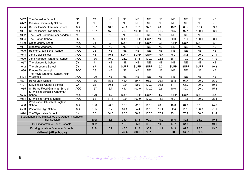| 5407 | The Cottesloe School                                              | <b>FD</b>  | 77             | <b>NE</b> | <b>NE</b>   | <b>NE</b>   | <b>NE</b>   | <b>NE</b> | <b>NE</b>   | <b>NE</b>   | <b>NE</b>   | <b>NE</b> |
|------|-------------------------------------------------------------------|------------|----------------|-----------|-------------|-------------|-------------|-----------|-------------|-------------|-------------|-----------|
| 4072 | <b>Cressex Community School</b>                                   | <b>FD</b>  | <b>NE</b>      | <b>NE</b> | <b>NE</b>   | <b>NE</b>   | <b>NE</b>   | <b>NE</b> | <b>NE</b>   | <b>NE</b>   | <b>NE</b>   | <b>NE</b> |
| 4504 | Dr Challoner's Grammar School                                     | <b>ACC</b> | 187            | 18.2      | 47.1        | 91.2        | 97.1        | 20.9      | 46.2        | 89.7        | 97.4        | 39.0      |
| 4061 | Dr Challoner's High School                                        | <b>ACC</b> | 157            | 15.3      | 70.8        | 100.0       | 100.0       | 21.7      | 73.5        | 97.1        | 100.0       | 36.9      |
| 4002 | The E-Act Burnham Park Academy                                    | <b>AC</b>  | 6              | <b>NE</b> | <b>NE</b>   | <b>NE</b>   | <b>NE</b>   | <b>NE</b> | <b>NE</b>   | <b>NE</b>   | <b>NE</b>   | <b>NE</b> |
| 4034 | The Grange School                                                 | <b>FD</b>  | 52             | 3.8       | <b>SUPP</b> | <b>SUPP</b> | <b>SUPP</b> | 19.2      | 30.0        | 70.0        | 100.0       | 23.1      |
| 5409 | <b>Great Marlow School</b>                                        | <b>ACC</b> | 71             | 2.8       | <b>SUPP</b> | <b>SUPP</b> | <b>SUPP</b> | 2.8       | <b>SUPP</b> | <b>SUPP</b> | <b>SUPP</b> | 5.6       |
| 4001 | <b>Highcrest Academy</b>                                          | <b>ACC</b> | <b>NE</b>      | <b>NE</b> | <b>NE</b>   | <b>NE</b>   | <b>NE</b>   | <b>NE</b> | <b>NE</b>   | <b>NE</b>   | <b>NE</b>   | <b>NE</b> |
| 4070 | Holmer Green Senior School                                        | <b>ACC</b> | 33             | <b>NE</b> | <b>NE</b>   | <b>NE</b>   | <b>NE</b>   | <b>NE</b> | <b>NE</b>   | <b>NE</b>   | <b>NE</b>   | <b>NE</b> |
| 4044 | John Colet School                                                 | <b>ACC</b> | 48             | 10.4      | <b>SUPP</b> | <b>SUPP</b> | <b>SUPP</b> | 16.7      | 0.0         | 37.5        | 100.0       | 27.1      |
| 4009 | John Hampden Grammar School                                       | <b>ACC</b> | 136            | 19.9      | 25.9        | 81.5        | 100.0       | 22.1      | 36.7        | 70.0        | 100.0       | 41.9      |
| 4067 | The Mandeville School                                             | <b>CY</b>  | $\overline{7}$ | <b>NE</b> | <b>NE</b>   | <b>NE</b>   | <b>NE</b>   | <b>NE</b> | <b>NE</b>   | <b>NE</b>   | <b>NE</b>   | <b>NE</b> |
| 4042 | The Misbourne School                                              | <b>CY</b>  | 87             | 4.6       | <b>SUPP</b> | <b>SUPP</b> | <b>SUPP</b> | 5.7       | <b>SUPP</b> | <b>SUPP</b> | <b>SUPP</b> | 10.3      |
| 4036 | Princes Risborough                                                | <b>ACC</b> | 33             | <b>NE</b> | <b>NE</b>   | <b>NE</b>   | <b>NE</b>   | <b>NE</b> | <b>NE</b>   | <b>NE</b>   | <b>NE</b>   | <b>NE</b> |
| 5404 | The Royal Grammar School, High<br>Wycombe                         | <b>ACC</b> | 190            | <b>NE</b> | <b>NE</b>   | <b>NE</b>   | <b>NE</b>   | <b>NE</b> | <b>NE</b>   | <b>NE</b>   | <b>NE</b>   | <b>NE</b> |
| 4501 | Royal Latin School                                                | <b>ACC</b> | 186            | 15.6      | 41.4        | 89.7        | 96.6        | 20.4      | 36.8        | 97.4        | 100.0       | 36.0      |
| 4701 | St Michael's Catholic School                                      | VA         | 23             | 30.4      | 0.0         | 42.9        | 100.0       | 39.1      | 11.1        | 66.7        | 100.0       | 69.6      |
| 4065 | Sir Henry Floyd Grammar School                                    | <b>ACC</b> | 157            | 5.7       | 44.4        | 100.0       | 100.0       | 9.6       | 40.0        | 80.0        | 100.0       | 15.3      |
| 4505 | Sir William Borlase's Grammar<br>School                           | <b>ACC</b> | 179            | 1.7       | <b>SUPP</b> | <b>SUPP</b> | <b>SUPP</b> | 1.7       | <b>SUPP</b> | <b>SUPP</b> | <b>SUPP</b> | 3.4       |
| 4084 | Sir William Ramsay School                                         | <b>ACC</b> | 63             | 11.1      | 0.0         | 100.0       | 100.0       | 14.3      | 0.0         | 77.8        | 100.0       | 25.4      |
| 5408 | Waddesdon Church of England<br>School                             | <b>ACC</b> | 106            | 20.8      | 13.6        | 72.7        | 100.0       | 23.6      | 40.0        | 84.0        | 96.0        | 44.3      |
| 4503 | Wycombe High School                                               | <b>ACC</b> | 185            | 9.7       | 61.1        | 94.4        | 100.0       | 11.4      | 52.4        | 100.0       | 100.0       | 21.1      |
| 4094 | The Wye Valley School                                             | CY         | 35             | 34.3      | 25.0        | 58.3        | 100.0       | 37.1      | 23.1        | 76.9        | 100.0       | 71.4      |
|      | Buckinghamshire Maintained and Academy Schools<br>(incl. Special) |            | 3026           | 8.6       | 34.4        | 83.8        | 99.2        | 10.9      | 36.6        | 82.5        | 94.9        | 19.5      |
|      | <b>Buckinghamshire Upper Schools</b>                              |            | 902            | 8.3       | 12.0        | 65.3        | 100.0       | 10.6      | 17.7        | 64.6        | 86.5        | 19.0      |
|      | <b>Buckinghamshire Grammar Schools</b>                            |            | 2124           | 8.7       | 43.5        | 91.3        | 98.9        | 11.1      | 44.3        | 89.8        | 98.3        | 19.7      |
|      | <b>National (All schools)</b>                                     |            |                |           | 26.4        | 80.0        | 99.1        |           | 20          | 64.7        | 91.6        |           |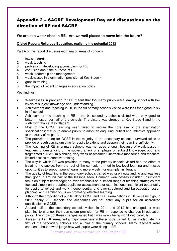## Appendix 2 – SACRE Development Day and discussions on the direction of RE and SACRE

#### **We are at a water-shed in RE. Are we well placed to move into the future?**

#### **Ofsted Report: Religious Education, realising the potential 2013**

Part A of this report discusses eight major areas of concern:

- 1. low standards
- 2. weak teaching
- 3. problems in developing a curriculum for RE
- 4. confusion about the purpose of RE
- 5. weak leadership and management
- 6. weaknesses in examination provision at Key Stage 4
- 7. gaps in training
- 8. the impact of recent changes in education policy

#### Key findings:

- Weaknesses in provision for RE meant that too many pupils were leaving school with low levels of subject knowledge and understanding.
- Achievement and teaching in RE in the 90 primary schools visited were less than good in six in 10 schools.
- Achievement and teaching in RE in the 91 secondary schools visited were only good or better in just under half of the schools. The picture was stronger at Key Stage 4 and in the sixth form than at Key Stage 3.
- Most of the GCSE teaching seen failed to secure the core aim of the examination specifications: that is, to enable pupils 'to adopt an enquiring, critical and reflective approach to the study of religion'.
- The provision made for GCSE in the majority of the secondary schools surveyed failed to provide enough curriculum time for pupils to extend and deepen their learning sufficiently.
- The teaching of RE in primary schools was not good enough because of weaknesses in teachers' understanding of the subject, a lack of emphasis on subject knowledge, poor and fragmented curriculum planning, very weak assessment, ineffective monitoring and teachers' limited access to effective training.
- The way in which RE was provided in many of the primary schools visited had the effect of isolating the subject from the rest of the curriculum. It led to low-level learning and missed opportunities to support pupils' learning more widely, for example, in literacy.
- The quality of teaching in the secondary schools visited was rarely outstanding and was less than good in around half of the lessons seen. Common weaknesses included: insufficient focus on subject knowledge; an over-emphasis on a limited range of teaching strategies that focused simply on preparing pupils for assessments or examinations; insufficient opportunity for pupils to reflect and work independently; and over-structured and bureaucratic lesson planning with a limited focus on promoting effective learning.
- Although the proportion of pupils taking GCSE and GCE examinations in RE remains high, in 2011 nearly 250 schools and academies did not enter any pupils for an accredited qualification in GCSE.
- Around half of the secondary schools visited in 2011 and 2012 had changed, or were planning to change, their curriculum provision for RE in response to changes in education policy. The impact of these changes varied but it was rarely being monitored carefully.
- Assessment in RE remained a major weakness in the schools visited. It was inadequate in a fifth of the secondary schools and a third of the primary schools. Many teachers were confused about how to judge how well pupils were doing in RE.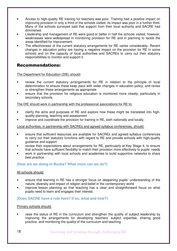- Access to high-quality RE training for teachers was poor. Training had a positive impact on improving provision in only a third of the schools visited; its impact was poor in a further third. Many of the schools surveyed said that support from their local authority and SACRE had diminished.
- Leadership and management of RE were good or better in half the schools visited; however, weaknesses were widespread in monitoring provision for RE and in planning to tackle the areas identified for improvement.
- The effectiveness of the current statutory arrangements for RE varies considerably. Recent changes in education policy are having a negative impact on the provision for RE in some schools and on the capacity of local authorities and SACREs to carry out their statutory responsibilities to monitor and support it.

## Recommendations:

#### The Department for Education (DfE) should**:**

- review the current statutory arrangements for RE in relation to the principle of local determination to ensure these keep pace with wider changes in education policy, and revise or strengthen these arrangements as appropriate
- ensure that the provision for religious education is monitored more closely, particularly in secondary schools.

#### The DfE should work in partnership with the professional associations for RE to:

- clarify the aims and purposes of RE and explore how these might be translated into highquality planning, teaching and assessment
- improve and coordinate the provision for training in RE, both nationally and locally.

#### Local authorities, in partnership with SACREs and agreed syllabus conferences, should:

- ensure that sufficient resources are available for SACREs and agreed syllabus conferences to carry out their statutory functions with regard to RE and provide schools with high-quality guidance and support
- review their expectations about arrangements for RE, particularly at Key Stage 4, to ensure that schools have sufficient flexibility to match their provision more effectively to pupils' needs
- work in partnership with local schools and academies to build supportive networks to share best practice.

#### **(How are we doing in Bucks? What more can we do?)**

#### All schools should:

- ensure that learning in RE has a stronger focus on deepening pupils' understanding of the nature, diversity and impact of religion and belief in the contemporary world
- improve lesson planning so that teaching has a clear and straightforward focus on what pupils need to learn and engages their interest.

#### **(Does SACRE have a role here? If so, what and how?)**

#### Primary schools should:

• raise the status of RE in the curriculum and strengthen the quality of subject leadership by improving the arrangements for developing teachers' subject expertise, sharing good practice, and monitoring the quality of the curriculum and teaching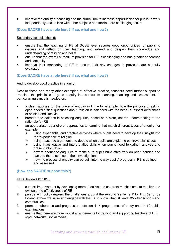• improve the quality of teaching and the curriculum to increase opportunities for pupils to work independently, make links with other subjects and tackle more challenging tasks

#### **(Does SACRE have a role here? If so, what and how?)**

Secondary schools should:

- ensure that the teaching of RE at GCSE level secures good opportunities for pupils to discuss and reflect on their learning, and extend and deepen their knowledge and understanding of religion and belief
- ensure that the overall curriculum provision for RE is challenging and has greater coherence and continuity
- improve their monitoring of RE to ensure that any changes in provision are carefully evaluated

#### **(Does SACRE have a role here? If so, what and how?)**

#### And to develop good practice in enquiry:

Despite these and many other examples of effective practice, teachers need further support to translate the principles of good enquiry into curriculum planning, teaching and assessment. In particular, guidance is needed on:

- a clear rationale for the place of enquiry in  $RE -$  for example, how the principle of asking open-ended critical questions about religion is balanced with the need to respect differences of opinion and lifestyle
- breadth and balance in selecting enquiries, based on a clear, shared understanding of the rationale for RE
- an appropriate repertoire of approaches to learning that match different types of enquiry, for example:
	- $\triangleright$  using experiential and creative activities where pupils need to develop their insight into the 'experience' of religion
	- using reasoned argument and debate when pupils are exploring controversial issues
	- $\triangleright$  using investigative and interpretative skills when pupils need to gather, analyse and present information
	- $\triangleright$  how to sequence enquiries to make sure pupils build effectively on prior learning and can see the relevance of their investigations
	- $\triangleright$  how the process of enquiry can be built into the way pupils' progress in RE is defined and assessed.

#### **(How can SACRE support this?)**

#### REC Review Oct 2013

- 1. support improvement by developing more effective and coherent mechanisms to monitor and evaluate the effectiveness of RE
- 2. pursue with policy makers the challenges around the existing 'settlement' for RE; (ie for us looking at how we liaise and engage with the LA to show what RE and CW offer schools and communities)
- 3. promote coherence and progression between 4-14 programmes of study and 14-19 public examinations;
- 4. ensure that there are more robust arrangements for training and supporting teachers of RE; (cpd; networks; social media)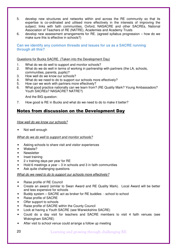- 5. develop new structures and networks within and across the RE community so that its expertise is co-ordinated and utilised more effectively in the interests of improving the subject; links with faith communities, Oxford, NASACRE and other SACREs, National Association of Teachers of RE (NATRE), Academies and Academy Trusts
- 6. develop new assessment arrangements for RE. (agreed syllabus progression how do we make sure this is effective in schools?)

**Can we identify any common threads and issues for us as a SACRE running through all this?** 

#### Questions for Bucks SACRE. (Taken into the Development Day)

- 1. What do we do well to support and monitor schools?
- 2. What do we do well in terms of working in partnership with partners (the LA, schools, communities, parents, pupils)?
- 3. How well do we know our schools?
- 4. What do we need to do to support our schools more effectively?
- 5. How can we work with partners more effectively?
- 6. What good practice nationally can we learn from? (RE Quality Mark? Young Ambassadors? Youth SACREs? NASACRE? NATRE?)

And the BIG question:

7. How good is RE in Bucks and what do we need to do to make it better?

## Notes from discussion on the Development Day

#### How well do we know our schools?

Not well enough

#### What do we do well to support and monitor schools?

- Asking schools to share visit and visitor experiences
- Website?
- Newsletter
- Inset training
- 2 x training days per year for RE
- Hold 6 meetings a year  $-3$  in schools and 3 in faith communities
- Ask quite challenging questions

#### What do we need to do to support our schools more effectively?

- Raise profile of RE Council
- Create an award (similar to Swan Award and RE Quality Mark). Local Award will be better and less expensive for schools
- Buddy system SACRE act as broker for RE buddies school to school
- Raise profile of SACRE
- Offer support to schools
- Raise profile of SACRE within the County Council
- Look at having a Youth SACRE (see Warwickshire SACRE)
- Could do a day visit for teachers and SACRE members to visit 4 faith venues (see Wokingham SACRE)
- After visit to school venue could arrange a follow up meeting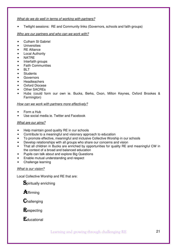#### What do we do well in terms of working with partners?

• Twilight sessions: RE and Community links (Governors, schools and faith groups)

#### Who are our partners and who can we work with?

- Culham St Gabriel
- Universities
- **RE Alliance**
- **Local Authority**
- NATRE
- Interfaith groups
- Faith Communities
- **BLT**
- **Students**
- Governors
- Headteachers
- Oxford Diocese
- **Other SACREs**
- Hubs (could form our own ie. Bucks, Berks, Oxon, Milton Keynes, Oxford Brookes & Farmington)

#### How can we work with partners more effectively?

- Form a Hub
- Use social media ie. Twitter and Facebook

#### What are our aims?

- Help maintain good quality RE in our schools
- Contribute to a meaningful and visionary approach to education
- To promote effective, meaningful and inclusive Collective Worship in our schools
- Develop relationships with all groups who share our concerns and vision
- That all children in Bucks are enriched by opportunities for quality RE and meaningful CW in the context of a broad and balanced education
- Pupils can talk about and explore Big Questions
- Enable mutual understanding and respect
- Challenge learning

#### What is our vision?

Local Collective Worship and RE that are:

Spiritually enriching

**A**ffirming

 $C$ hallenging

**Respecting** 

**E**ducational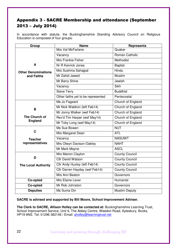## Appendix 3 - SACRE Membership and attendance (September 2013 – July 2014)

In accordance with statute, the Buckinghamshire Standing Advisory Council on Religious Education is composed of four groups:

| Group                      | <b>Name</b>                        | <b>Represents</b>     |  |  |  |
|----------------------------|------------------------------------|-----------------------|--|--|--|
|                            | Mrs Val McFarlane                  | Quaker                |  |  |  |
|                            | Vacancy                            | Roman Catholic        |  |  |  |
|                            | Mrs Frankie Fisher                 | <b>Methodist</b>      |  |  |  |
| A                          | Nr R Kenrick Jones                 | <b>Baptist</b>        |  |  |  |
| <b>Other Denominations</b> | Mrs Sushma Sahajpal                | Hindu                 |  |  |  |
| and Faiths                 | Mr Zahid Jawed                     | Muslim                |  |  |  |
|                            | Mr Barry Shine                     | Jewish                |  |  |  |
|                            | Vacancy                            | <b>Sikh</b>           |  |  |  |
|                            | <b>Steve Terry</b>                 | <b>Buddhist</b>       |  |  |  |
|                            | Other faiths yet to be represented | Pentecostal           |  |  |  |
|                            | Ms Jo Fageant                      | Church of England     |  |  |  |
| B                          | Mr Nick Waldron (left Feb14)       | Church of England     |  |  |  |
|                            | Mr Jonny Walker (wef Feb14)        | Church of England     |  |  |  |
| The Church of              | Rev'd Tim Harper (wef May14)       | Church of England     |  |  |  |
| <b>England</b>             | Mr Toby Long (wef May14)           | Church of England     |  |  |  |
|                            | Ms Sue Bowen                       | <b>NUT</b>            |  |  |  |
| $\mathbf C$                | Mrs Margaret Dean                  | <b>ATL</b>            |  |  |  |
| <b>Teacher</b>             | Vacancy                            | <b>NASUWT</b>         |  |  |  |
| representatives            | Mrs Olwyn Davison-Oakley           | <b>NAHT</b>           |  |  |  |
|                            | Mr Mark Mayne                      | <b>ASCL</b>           |  |  |  |
|                            | Mrs Marion Clayton                 | <b>County Council</b> |  |  |  |
| D                          | <b>Cllr David Watson</b>           | <b>County Council</b> |  |  |  |
| <b>The Local Authority</b> | Cllr Andy Huxley (left Feb14)      | <b>County Council</b> |  |  |  |
|                            | Cllr Darren Hayday (wef Feb14)     | <b>County Council</b> |  |  |  |
|                            | Mrs Ann Beaton                     | Governors             |  |  |  |
| Co-opted                   | Mrs Elaine Lever                   | Humanist              |  |  |  |
| Co-opted                   | Mr Rob Johnston                    | Governors             |  |  |  |
| <b>Deputies</b>            | Ms Suma Din                        | <b>Muslim Deputy</b>  |  |  |  |

**SACRE is advised and supported by Bill Moore, School Improvement Adviser.** 

**The Clerk to SACRE, Allison Holley can be contacted at:** Buckinghamshire Learning Trust, School Improvement Service, Unit 9, The Abbey Centre, Weedon Road, Aylesbury, Bucks, HP19 9NS. Tel: 01296 382146 / Email: aholley@learningtrust.net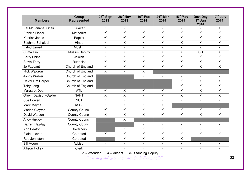| <b>Members</b>        | Group<br>Represented  | 23rd Sept<br>2013       | 28 <sup>th</sup> Nov<br>2013 | $10th$ Feb<br>2014      | $24th$ Mar<br>2014      | $15th$ May<br>2014      | Dev. Day<br>17 Jun<br>2014 | 17 <sup>th</sup> July<br>2014 |
|-----------------------|-----------------------|-------------------------|------------------------------|-------------------------|-------------------------|-------------------------|----------------------------|-------------------------------|
| Val McFarlane, Chair  | Quaker                | $\checkmark$            | $\checkmark$                 | $\checkmark$            | $\blacktriangledown$    | $\checkmark$            | $\checkmark$               | $\overline{X}$                |
| <b>Frankie Fisher</b> | Methodist             | $\sqrt{}$               | $\checkmark$                 | $\sqrt{}$               | $\checkmark$            | $\checkmark$            | $\sqrt{}$                  | $\sqrt{}$                     |
| <b>Kenrick Jones</b>  | <b>Baptist</b>        | $\checkmark$            | $\checkmark$                 | $\checkmark$            | $\overline{X}$          | $\overline{X}$          | $\checkmark$               | $\overline{X}$                |
| Sushma Sahajpal       | Hindu                 | $\sqrt{}$               | $\overline{\mathsf{X}}$      | $\checkmark$            | $\overline{\checkmark}$ | $\overline{\mathsf{x}}$ | $\checkmark$               | $\checkmark$                  |
| Zahid Jawed           | <b>Muslim</b>         | $\overline{X}$          | $\overline{\checkmark}$      | $\overline{\mathsf{x}}$ | $\overline{\mathsf{x}}$ | $\overline{X}$          | $\overline{X}$             | $\sqrt{}$                     |
| Suma Din              | <b>Muslim Deputy</b>  | $\overline{X}$          | $\overline{\mathsf{x}}$      | $\overline{X}$          | $\overline{X}$          | $\overline{\mathsf{x}}$ | $\overline{SD}$            | $\overline{X}$                |
| <b>Barry Shine</b>    | Jewish                | $\overline{X}$          | $\overline{\mathsf{X}}$      | $\overline{\mathsf{x}}$ | $\checkmark$            | $\overline{\mathsf{x}}$ | $\checkmark$               | ✓                             |
| <b>Steve Terry</b>    | <b>Buddhist</b>       | $\overline{X}$          | $\overline{X}$               | X                       | X                       | $\overline{X}$          | $\overline{X}$             | $\overline{X}$                |
| Jo Fageant            | Church of England     | $\checkmark$            | $\checkmark$                 | $\checkmark$            | $\overline{\checkmark}$ | $\checkmark$            | $\overline{\mathsf{x}}$    | $\overline{X}$                |
| Nick Waldron          | Church of England     | X                       | $\checkmark$                 | $\overline{X}$          |                         |                         |                            |                               |
| Jonny Walker          | Church of England     |                         |                              | $\checkmark$            | $\checkmark$            | $\overline{\checkmark}$ | $\sqrt{}$                  | $\checkmark$                  |
| Rev'd Tim Harper      | Church of England     |                         |                              |                         |                         | $\checkmark$            | X                          | $\overline{\mathsf{x}}$       |
| <b>Toby Long</b>      | Church of England     |                         |                              |                         |                         | $\checkmark$            | $\overline{X}$             | $\overline{X}$                |
| <b>Margaret Dean</b>  | <b>ATL</b>            | $\checkmark$            | $\overline{X}$               | $\checkmark$            | $\checkmark$            | $\checkmark$            | $\overline{X}$             | $\checkmark$                  |
| Olwyn Davison-Oakley  | <b>NAHT</b>           | $\overline{X}$          | $\overline{\mathsf{X}}$      | $\checkmark$            | $\checkmark$            | $\overline{\mathsf{x}}$ | $\sqrt{}$                  | $\overline{\mathsf{x}}$       |
| Sue Bowen             | <b>NUT</b>            | $\overline{\checkmark}$ | $\sqrt{}$                    | $\overline{\checkmark}$ | $\checkmark$            | $\overline{\checkmark}$ | $\checkmark$               | $\overline{\checkmark}$       |
| Mark Mayne            | <b>ASCL</b>           | X                       | $\overline{X}$               | $\overline{\mathsf{x}}$ | $\overline{X}$          |                         |                            |                               |
| Marion Clayton        | <b>County Council</b> | $\checkmark$            | $\checkmark$                 | $\overline{X}$          | $\overline{\checkmark}$ | $\checkmark$            | $\sqrt{}$                  | $\checkmark$                  |
| David Watson          | <b>County Council</b> | $\overline{X}$          | $\overline{X}$               | $\overline{X}$          | $\checkmark$            | $\checkmark$            | $\overline{X}$             | $\blacktriangledown$          |
| <b>Andy Huxley</b>    | <b>County Council</b> |                         | $\overline{\mathsf{X}}$      |                         |                         |                         |                            |                               |
| Darren Hayday         | <b>County Council</b> |                         |                              | $\sf X$                 | $\checkmark$            | X                       | $\mathsf{X}$               | $\mathsf{X}$                  |
| Ann Beaton            | Governors             |                         | $\sqrt{}$                    | $\checkmark$            | $\checkmark$            | $\checkmark$            | $\checkmark$               | $\checkmark$                  |
| Elaine Lever          | Co-opted              | X                       | $\checkmark$                 | $\checkmark$            | $\checkmark$            | $\checkmark$            | $\checkmark$               | $\checkmark$                  |
| Rob Johnston          | Co-opted              |                         | $\checkmark$                 | $\overline{\mathsf{x}}$ | $\overline{X}$          | $\overline{\mathsf{x}}$ |                            |                               |
| <b>Bill Moore</b>     | Adviser               | $\sqrt{}$               | $\sqrt{}$                    | $\checkmark$            | $\overline{\checkmark}$ | $\checkmark$            | $\sqrt{}$                  | ✓                             |
| <b>Allison Holley</b> | <b>Clerk</b>          | ✓                       | $\checkmark$                 | $\overline{\checkmark}$ | $\checkmark$            | $\checkmark$            | $\checkmark$               | $\checkmark$                  |

 $\checkmark$  = Attended  $X$  = Absent SD Standing Deputy